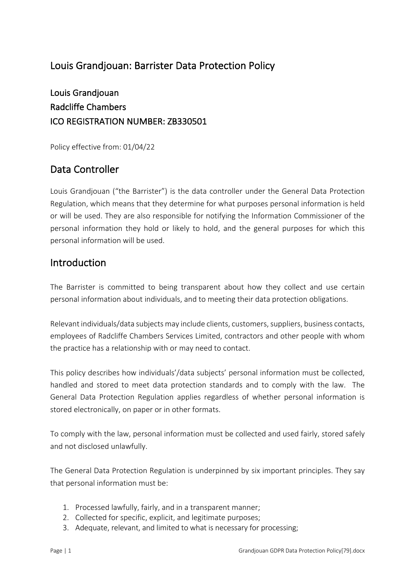### Louis Grandjouan: Barrister Data Protection Policy

Louis Grandjouan Radcliffe Chambers ICO REGISTRATION NUMBER: ZB330501

Policy effective from: 01/04/22

# Data Controller

Louis Grandjouan ("the Barrister") is the data controller under the General Data Protection Regulation, which means that they determine for what purposes personal information is held or will be used. They are also responsible for notifying the Information Commissioner of the personal information they hold or likely to hold, and the general purposes for which this personal information will be used.

#### Introduction

The Barrister is committed to being transparent about how they collect and use certain personal information about individuals, and to meeting their data protection obligations.

Relevant individuals/data subjects may include clients, customers, suppliers, business contacts, employees of Radcliffe Chambers Services Limited, contractors and other people with whom the practice has a relationship with or may need to contact.

This policy describes how individuals'/data subjects' personal information must be collected, handled and stored to meet data protection standards and to comply with the law. The General Data Protection Regulation applies regardless of whether personal information is stored electronically, on paper or in other formats.

To comply with the law, personal information must be collected and used fairly, stored safely and not disclosed unlawfully.

The General Data Protection Regulation is underpinned by six important principles. They say that personal information must be:

- 1. Processed lawfully, fairly, and in a transparent manner;
- 2. Collected for specific, explicit, and legitimate purposes;
- 3. Adequate, relevant, and limited to what is necessary for processing;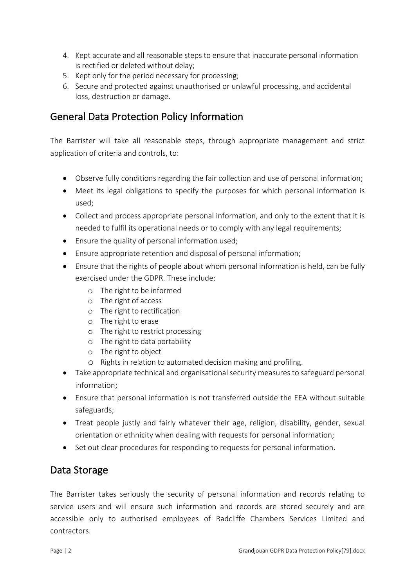- 4. Kept accurate and all reasonable steps to ensure that inaccurate personal information is rectified or deleted without delay;
- 5. Kept only for the period necessary for processing;
- 6. Secure and protected against unauthorised or unlawful processing, and accidental loss, destruction or damage.

### General Data Protection Policy Information

The Barrister will take all reasonable steps, through appropriate management and strict application of criteria and controls, to:

- Observe fully conditions regarding the fair collection and use of personal information;
- Meet its legal obligations to specify the purposes for which personal information is used;
- Collect and process appropriate personal information, and only to the extent that it is needed to fulfil its operational needs or to comply with any legal requirements;
- Ensure the quality of personal information used;
- Ensure appropriate retention and disposal of personal information;
- Ensure that the rights of people about whom personal information is held, can be fully exercised under the GDPR. These include:
	- o The right to be informed
	- o The right of access
	- o The right to rectification
	- o The right to erase
	- o The right to restrict processing
	- o The right to data portability
	- o The right to object
	- o Rights in relation to automated decision making and profiling.
- Take appropriate technical and organisational security measures to safeguard personal information;
- Ensure that personal information is not transferred outside the EEA without suitable safeguards;
- Treat people justly and fairly whatever their age, religion, disability, gender, sexual orientation or ethnicity when dealing with requests for personal information;
- Set out clear procedures for responding to requests for personal information.

#### Data Storage

The Barrister takes seriously the security of personal information and records relating to service users and will ensure such information and records are stored securely and are accessible only to authorised employees of Radcliffe Chambers Services Limited and contractors.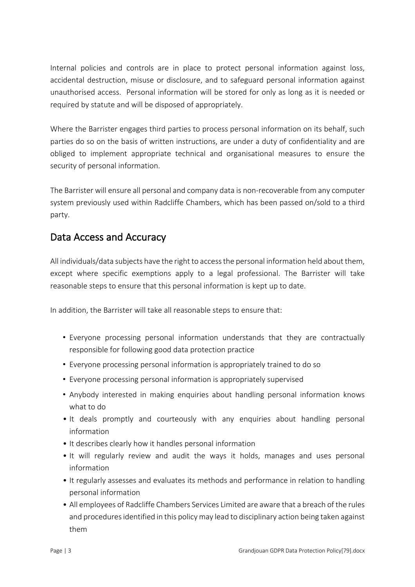Internal policies and controls are in place to protect personal information against loss, accidental destruction, misuse or disclosure, and to safeguard personal information against unauthorised access. Personal information will be stored for only as long as it is needed or required by statute and will be disposed of appropriately.

Where the Barrister engages third parties to process personal information on its behalf, such parties do so on the basis of written instructions, are under a duty of confidentiality and are obliged to implement appropriate technical and organisational measures to ensure the security of personal information.

The Barrister will ensure all personal and company data is non-recoverable from any computer system previously used within Radcliffe Chambers, which has been passed on/sold to a third party.

### Data Access and Accuracy

All individuals/data subjects have the right to accessthe personal information held about them, except where specific exemptions apply to a legal professional. The Barrister will take reasonable steps to ensure that this personal information is kept up to date.

In addition, the Barrister will take all reasonable steps to ensure that:

- ! Everyone processing personal information understands that they are contractually responsible for following good data protection practice
- ! Everyone processing personal information is appropriately trained to do so
- ! Everyone processing personal information is appropriately supervised
- ! Anybody interested in making enquiries about handling personal information knows what to do
- It deals promptly and courteously with any enquiries about handling personal information
- It describes clearly how it handles personal information
- It will regularly review and audit the ways it holds, manages and uses personal information
- It regularly assesses and evaluates its methods and performance in relation to handling personal information
- All employees of Radcliffe Chambers Services Limited are aware that a breach of the rules and procedures identified in this policy may lead to disciplinary action being taken against them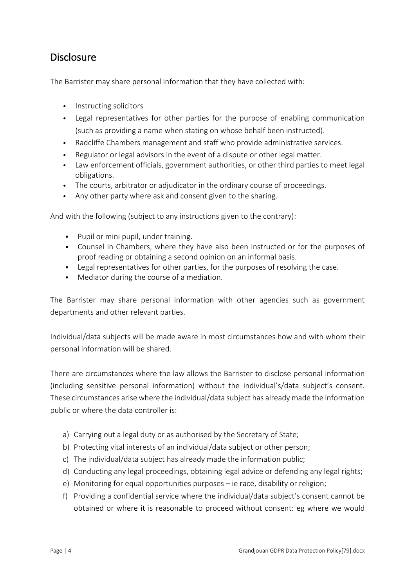#### Disclosure

The Barrister may share personal information that they have collected with:

- Instructing solicitors
- Legal representatives for other parties for the purpose of enabling communication (such as providing a name when stating on whose behalf been instructed).
- Radcliffe Chambers management and staff who provide administrative services.
- Regulator or legal advisors in the event of a dispute or other legal matter.
- Law enforcement officials, government authorities, or other third parties to meet legal obligations.
- The courts, arbitrator or adjudicator in the ordinary course of proceedings.
- Any other party where ask and consent given to the sharing.

And with the following (subject to any instructions given to the contrary):

- Pupil or mini pupil, under training.
- Counsel in Chambers, where they have also been instructed or for the purposes of proof reading or obtaining a second opinion on an informal basis.
- Legal representatives for other parties, for the purposes of resolving the case.
- Mediator during the course of a mediation.

The Barrister may share personal information with other agencies such as government departments and other relevant parties.

Individual/data subjects will be made aware in most circumstances how and with whom their personal information will be shared.

There are circumstances where the law allows the Barrister to disclose personal information (including sensitive personal information) without the individual's/data subject's consent. These circumstances arise where the individual/data subject has already made the information public or where the data controller is:

- a) Carrying out a legal duty or as authorised by the Secretary of State;
- b) Protecting vital interests of an individual/data subject or other person;
- c) The individual/data subject has already made the information public;
- d) Conducting any legal proceedings, obtaining legal advice or defending any legal rights;
- e) Monitoring for equal opportunities purposes ie race, disability or religion;
- f) Providing a confidential service where the individual/data subject's consent cannot be obtained or where it is reasonable to proceed without consent: eg where we would